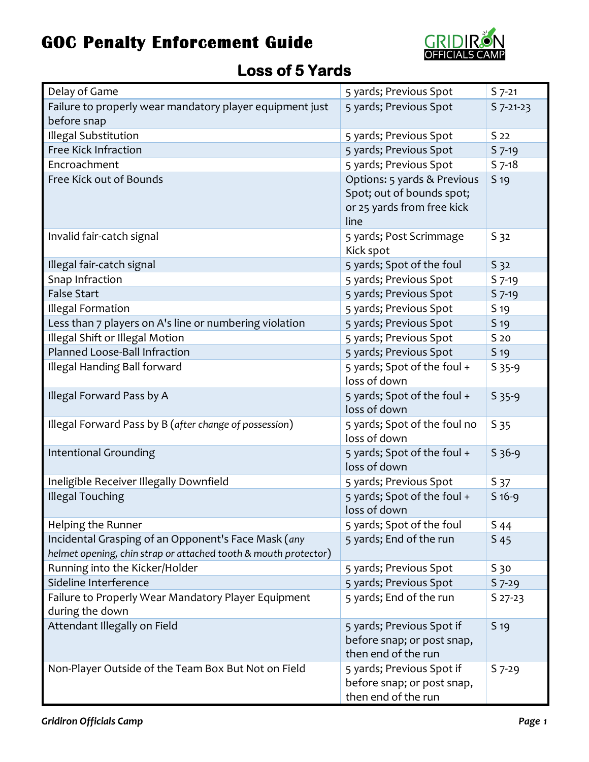

#### **Loss of 5 Yards**

| Delay of Game                                                                                                          | 5 yards; Previous Spot                                                         | $S$ 7-21        |
|------------------------------------------------------------------------------------------------------------------------|--------------------------------------------------------------------------------|-----------------|
| Failure to properly wear mandatory player equipment just<br>before snap                                                | 5 yards; Previous Spot                                                         | $S$ 7-21-23     |
| <b>Illegal Substitution</b>                                                                                            | 5 yards; Previous Spot                                                         | S <sub>22</sub> |
| Free Kick Infraction                                                                                                   | 5 yards; Previous Spot                                                         | $S$ 7-19        |
| Encroachment                                                                                                           | 5 yards; Previous Spot                                                         | $S$ 7-18        |
| Free Kick out of Bounds                                                                                                | Options: 5 yards & Previous                                                    | S 19            |
|                                                                                                                        | Spot; out of bounds spot;                                                      |                 |
|                                                                                                                        | or 25 yards from free kick<br>line                                             |                 |
| Invalid fair-catch signal                                                                                              | 5 yards; Post Scrimmage<br>Kick spot                                           | 532             |
| Illegal fair-catch signal                                                                                              | 5 yards; Spot of the foul                                                      | 532             |
| Snap Infraction                                                                                                        | 5 yards; Previous Spot                                                         | $S$ 7-19        |
| <b>False Start</b>                                                                                                     | 5 yards; Previous Spot                                                         | $S$ 7-19        |
| <b>Illegal Formation</b>                                                                                               | 5 yards; Previous Spot                                                         | S 19            |
| Less than 7 players on A's line or numbering violation                                                                 | 5 yards; Previous Spot                                                         | 519             |
| Illegal Shift or Illegal Motion                                                                                        | 5 yards; Previous Spot                                                         | S 20            |
| Planned Loose-Ball Infraction                                                                                          | 5 yards; Previous Spot                                                         | 519             |
| Illegal Handing Ball forward                                                                                           | 5 yards; Spot of the foul +<br>loss of down                                    | $S$ 35-9        |
| Illegal Forward Pass by A                                                                                              | 5 yards; Spot of the foul +<br>loss of down                                    | $S$ 35-9        |
| Illegal Forward Pass by B (after change of possession)                                                                 | 5 yards; Spot of the foul no<br>loss of down                                   | S <sub>35</sub> |
| Intentional Grounding                                                                                                  | 5 yards; Spot of the foul +<br>loss of down                                    | $S_36-9$        |
| Ineligible Receiver Illegally Downfield                                                                                | 5 yards; Previous Spot                                                         | S 37            |
| <b>Illegal Touching</b>                                                                                                | 5 yards; Spot of the foul +<br>loss of down                                    | $S$ 16-9        |
| Helping the Runner                                                                                                     | 5 yards; Spot of the foul                                                      | S 44            |
| Incidental Grasping of an Opponent's Face Mask (any<br>helmet opening, chin strap or attached tooth & mouth protector) | 5 yards; End of the run                                                        | 545             |
| Running into the Kicker/Holder                                                                                         | 5 yards; Previous Spot                                                         | S 30            |
| Sideline Interference                                                                                                  | 5 yards; Previous Spot                                                         | $S$ 7-29        |
| Failure to Properly Wear Mandatory Player Equipment<br>during the down                                                 | 5 yards; End of the run                                                        | $S$ 27-23       |
| Attendant Illegally on Field                                                                                           | 5 yards; Previous Spot if                                                      | 519             |
|                                                                                                                        | before snap; or post snap,<br>then end of the run                              |                 |
| Non-Player Outside of the Team Box But Not on Field                                                                    | 5 yards; Previous Spot if<br>before snap; or post snap,<br>then end of the run | $S$ 7-29        |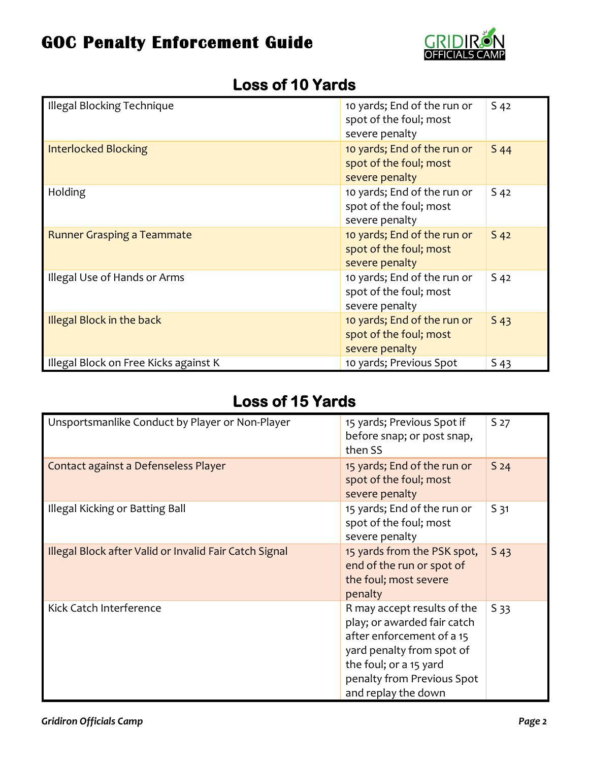

| Illegal Blocking Technique            | 10 yards; End of the run or<br>spot of the foul; most<br>severe penalty | $S$ 42 |
|---------------------------------------|-------------------------------------------------------------------------|--------|
| <b>Interlocked Blocking</b>           | 10 yards; End of the run or<br>spot of the foul; most<br>severe penalty | $S$ 44 |
| Holding                               | 10 yards; End of the run or<br>spot of the foul; most<br>severe penalty | $S$ 42 |
| <b>Runner Grasping a Teammate</b>     | 10 yards; End of the run or<br>spot of the foul; most<br>severe penalty | $S$ 42 |
| Illegal Use of Hands or Arms          | 10 yards; End of the run or<br>spot of the foul; most<br>severe penalty | $S$ 42 |
| <b>Illegal Block in the back</b>      | 10 yards; End of the run or<br>spot of the foul; most<br>severe penalty | 543    |
| Illegal Block on Free Kicks against K | 10 yards; Previous Spot                                                 | 543    |

#### **Loss of 10 Yards**

### **Loss of 15 Yards**

| Unsportsmanlike Conduct by Player or Non-Player        | 15 yards; Previous Spot if<br>before snap; or post snap,<br>then SS                                                                                                                                 | S 27            |
|--------------------------------------------------------|-----------------------------------------------------------------------------------------------------------------------------------------------------------------------------------------------------|-----------------|
| Contact against a Defenseless Player                   | 15 yards; End of the run or<br>spot of the foul; most<br>severe penalty                                                                                                                             | S <sub>24</sub> |
| Illegal Kicking or Batting Ball                        | 15 yards; End of the run or<br>spot of the foul; most<br>severe penalty                                                                                                                             | S <sub>31</sub> |
| Illegal Block after Valid or Invalid Fair Catch Signal | 15 yards from the PSK spot,<br>end of the run or spot of<br>the foul; most severe<br>penalty                                                                                                        | S 43            |
| Kick Catch Interference                                | R may accept results of the<br>play; or awarded fair catch<br>after enforcement of a 15<br>yard penalty from spot of<br>the foul; or a 15 yard<br>penalty from Previous Spot<br>and replay the down | S 33            |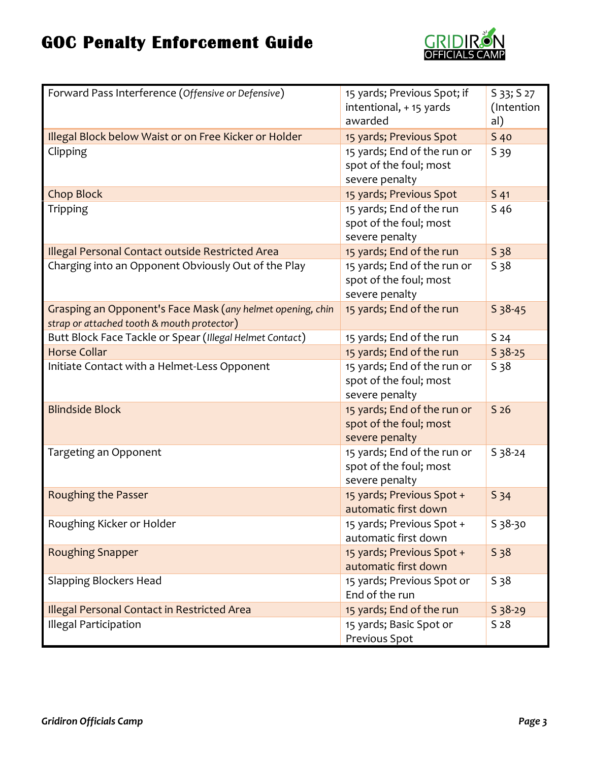

| Forward Pass Interference (Offensive or Defensive)         | 15 yards; Previous Spot; if | S 33; S 27      |
|------------------------------------------------------------|-----------------------------|-----------------|
|                                                            | intentional, + 15 yards     | (Intention      |
|                                                            | awarded                     | al)             |
| Illegal Block below Waist or on Free Kicker or Holder      | 15 yards; Previous Spot     | S 40            |
| Clipping                                                   | 15 yards; End of the run or | S 39            |
|                                                            | spot of the foul; most      |                 |
|                                                            | severe penalty              |                 |
| <b>Chop Block</b>                                          | 15 yards; Previous Spot     | 541             |
| <b>Tripping</b>                                            | 15 yards; End of the run    | $S$ 46          |
|                                                            | spot of the foul; most      |                 |
|                                                            | severe penalty              |                 |
| Illegal Personal Contact outside Restricted Area           | 15 yards; End of the run    | 538             |
| Charging into an Opponent Obviously Out of the Play        | 15 yards; End of the run or | 538             |
|                                                            | spot of the foul; most      |                 |
|                                                            | severe penalty              |                 |
| Grasping an Opponent's Face Mask (any helmet opening, chin | 15 yards; End of the run    | $S$ 38-45       |
| strap or attached tooth & mouth protector)                 |                             |                 |
| Butt Block Face Tackle or Spear (Illegal Helmet Contact)   | 15 yards; End of the run    | S <sub>24</sub> |
| <b>Horse Collar</b>                                        | 15 yards; End of the run    | $538-25$        |
| Initiate Contact with a Helmet-Less Opponent               | 15 yards; End of the run or | 538             |
|                                                            | spot of the foul; most      |                 |
|                                                            | severe penalty              |                 |
| <b>Blindside Block</b>                                     | 15 yards; End of the run or | S <sub>26</sub> |
|                                                            | spot of the foul; most      |                 |
|                                                            | severe penalty              |                 |
| Targeting an Opponent                                      | 15 yards; End of the run or | $538-24$        |
|                                                            | spot of the foul; most      |                 |
|                                                            | severe penalty              |                 |
| <b>Roughing the Passer</b>                                 | 15 yards; Previous Spot +   | S <sub>34</sub> |
|                                                            | automatic first down        |                 |
| Roughing Kicker or Holder                                  | 15 yards; Previous Spot +   | $S$ 38-30       |
|                                                            | automatic first down        |                 |
| <b>Roughing Snapper</b>                                    | 15 yards; Previous Spot +   | 538             |
|                                                            | automatic first down        |                 |
| <b>Slapping Blockers Head</b>                              | 15 yards; Previous Spot or  | S <sub>38</sub> |
|                                                            | End of the run              |                 |
| Illegal Personal Contact in Restricted Area                | 15 yards; End of the run    | $S_38-29$       |
| <b>Illegal Participation</b>                               | 15 yards; Basic Spot or     | S <sub>28</sub> |
|                                                            | Previous Spot               |                 |